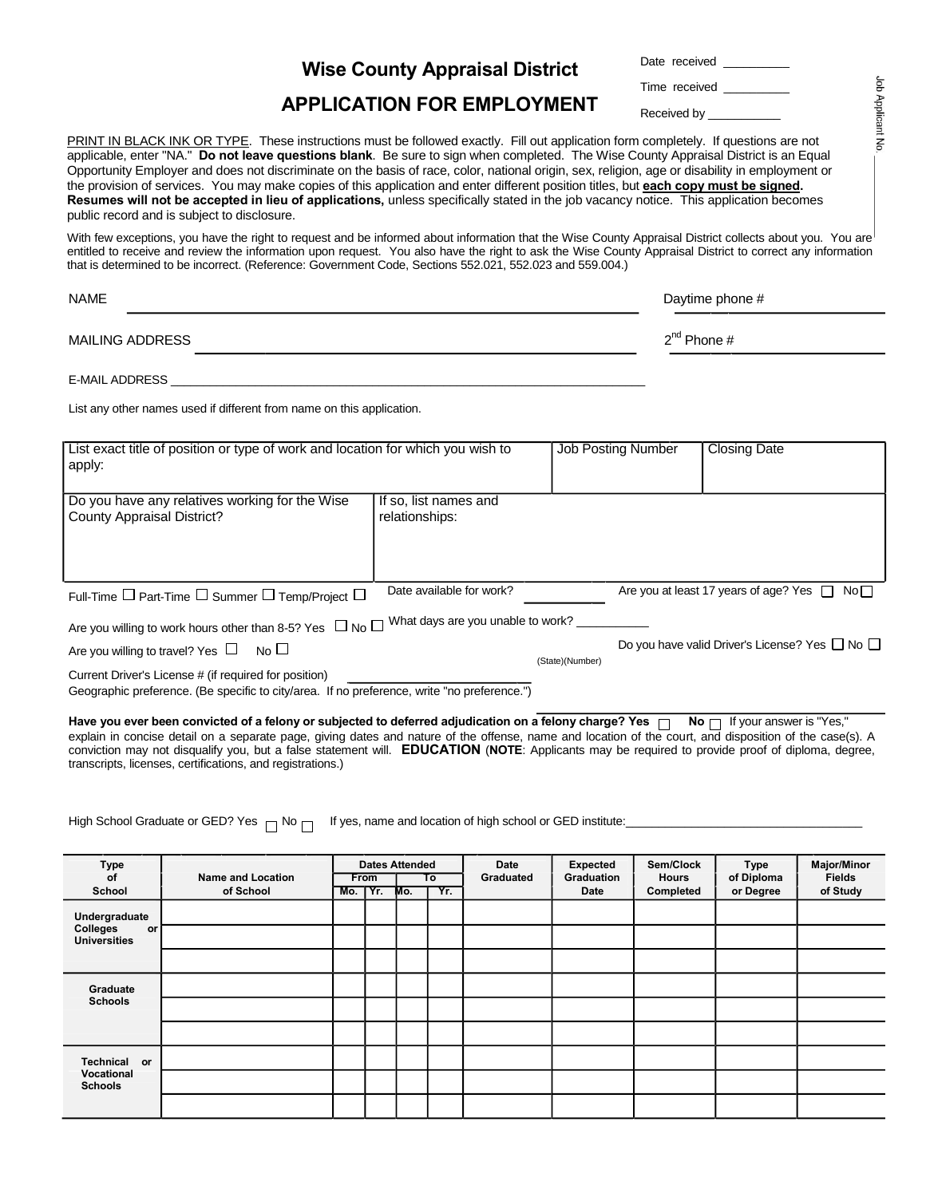| <b>Wise County Appraisal District</b> |  |
|---------------------------------------|--|
|---------------------------------------|--|

| Date received |  |
|---------------|--|
| Time received |  |

## **APPLICATION FOR EMPLOYMENT**

Received by

PRINT IN BLACK INK OR TYPE. These instructions must be followed exactly. Fill out application form completely. If questions are not applicable, enter "NA." **Do not leave questions blank**. Be sure to sign when completed. The Wise County Appraisal District is an Equal Opportunity Employer and does not discriminate on the basis of race, color, national origin, sex, religion, age or disability in employment or the provision of services. You may make copies of this application and enter different position titles, but **each copy must be signed. Resumes will not be accepted in lieu of applications,** unless specifically stated in the job vacancy notice. This application becomes public record and is subject to disclosure.

With few exceptions, you have the right to request and be informed about information that the Wise County Appraisal District collects about you. You are entitled to receive and review the information upon request. You also have the right to ask the Wise County Appraisal District to correct any information that is determined to be incorrect. (Reference: Government Code, Sections 552.021, 552.023 and 559.004.)

| <b>NAME</b>     | Daytime phone #  |
|-----------------|------------------|
| MAILING ADDRESS | $2^{nd}$ Phone # |

E-MAIL ADDRESS \_\_\_\_\_\_\_\_\_\_\_\_\_\_\_\_\_\_\_\_\_\_\_\_\_\_\_\_\_\_\_\_\_\_\_\_\_\_\_\_\_\_\_\_\_\_\_\_\_\_\_\_\_\_\_\_\_\_\_\_\_\_\_\_\_\_\_\_\_\_\_\_\_

List any other names used if different from name on this application.

| List exact title of position or type of work and location for which you wish to                  |                                   | <b>Job Posting Number</b> | <b>Closing Date</b> |                                                          |
|--------------------------------------------------------------------------------------------------|-----------------------------------|---------------------------|---------------------|----------------------------------------------------------|
| apply:                                                                                           |                                   |                           |                     |                                                          |
|                                                                                                  |                                   |                           |                     |                                                          |
|                                                                                                  |                                   |                           |                     |                                                          |
| Do you have any relatives working for the Wise                                                   | If so, list names and             |                           |                     |                                                          |
| County Appraisal District?                                                                       | relationships:                    |                           |                     |                                                          |
|                                                                                                  |                                   |                           |                     |                                                          |
|                                                                                                  |                                   |                           |                     |                                                          |
|                                                                                                  |                                   |                           |                     |                                                          |
|                                                                                                  |                                   |                           |                     |                                                          |
|                                                                                                  | Date available for work?          |                           |                     | Are you at least 17 years of age? Yes $\Box$ No $\Box$   |
| Full-Time $\Box$ Part-Time $\Box$ Summer $\Box$ Temp/Project $\Box$                              |                                   |                           |                     |                                                          |
|                                                                                                  | What days are you unable to work? |                           |                     |                                                          |
| Are you willing to work hours other than 8-5? Yes $\Box$ No $\Box$                               |                                   |                           |                     |                                                          |
| Are you willing to travel? Yes $\Box$ No $\Box$                                                  |                                   |                           |                     | Do you have valid Driver's License? Yes $\Box$ No $\Box$ |
|                                                                                                  |                                   | (State)(Number)           |                     |                                                          |
| Current Driver's License # (if required for position)                                            |                                   |                           |                     |                                                          |
| Osannachia professora - (De specific to situizme) - If no professora - culto llas professoras IV |                                   |                           |                     |                                                          |

Geographic preference. (Be specific to city/area. If no preference, write "no preference.")

Have you ever been convicted of a felony or subjected to deferred adjudication on a felony charge? Yes nable No naswer is "Yes," explain in concise detail on a separate page, giving dates and nature of the offense, name and location of the court, and disposition of the case(s). A conviction may not disqualify you, but a false statement will. **EDUCATION** (**NOTE**: Applicants may be required to provide proof of diploma, degree, transcripts, licenses, certifications, and registrations.)

High School Graduate or GED? Yes  $\Box$  No  $\Box$  If yes, name and location of high school or GED institute:

| <b>Type</b><br>of<br>School                            | <b>Name and Location</b><br>of School | Mo. TYr. | From | <b>Dates Attended</b><br>Mo. | To<br>Yr. | Date<br>Graduated | <b>Expected</b><br>Graduation<br>Date | Sem/Clock<br><b>Hours</b><br>Completed | <b>Type</b><br>of Diploma<br>or Degree | <b>Major/Minor</b><br><b>Fields</b><br>of Study |
|--------------------------------------------------------|---------------------------------------|----------|------|------------------------------|-----------|-------------------|---------------------------------------|----------------------------------------|----------------------------------------|-------------------------------------------------|
| Undergraduate<br>Colleges<br>or<br><b>Universities</b> |                                       |          |      |                              |           |                   |                                       |                                        |                                        |                                                 |
|                                                        |                                       |          |      |                              |           |                   |                                       |                                        |                                        |                                                 |
| Graduate<br><b>Schools</b>                             |                                       |          |      |                              |           |                   |                                       |                                        |                                        |                                                 |
|                                                        |                                       |          |      |                              |           |                   |                                       |                                        |                                        |                                                 |
|                                                        |                                       |          |      |                              |           |                   |                                       |                                        |                                        |                                                 |
| Technical or                                           |                                       |          |      |                              |           |                   |                                       |                                        |                                        |                                                 |
| Vocational<br><b>Schools</b>                           |                                       |          |      |                              |           |                   |                                       |                                        |                                        |                                                 |
|                                                        |                                       |          |      |                              |           |                   |                                       |                                        |                                        |                                                 |

Job Applicant No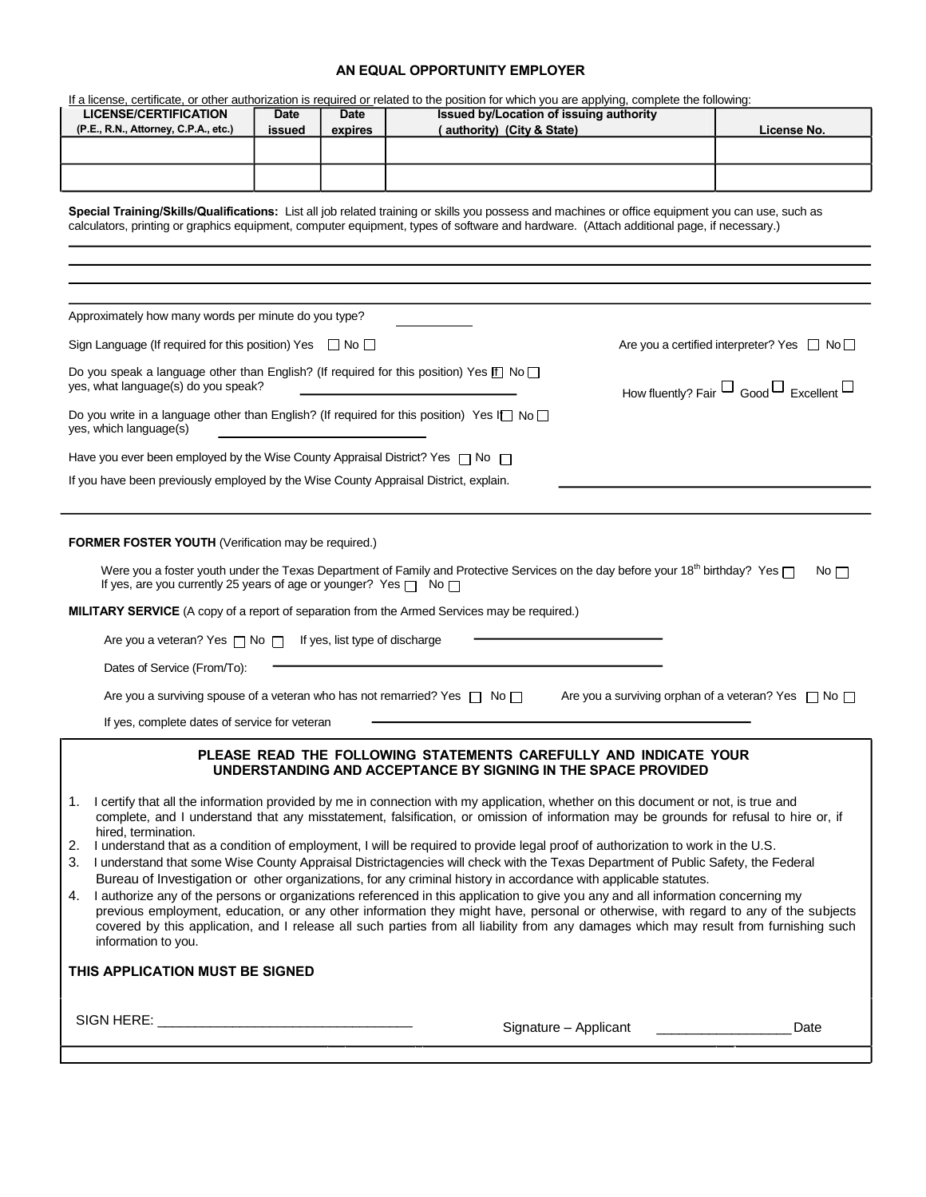## **AN EQUAL OPPORTUNITY EMPLOYER**

|                                                                                                                                                                                                                                                                                                                                                                                                                                                                                                                                                                                                                                                                                                                       |             |             | If a license, certificate, or other authorization is required or related to the position for which you are applying, complete the following:                                                                                                                                                                                                                                                                                                                                                                                                                                                                                                                                                                                                                                                                                                                                                                                                                                                                                                                                                      |                                                        |  |  |  |  |  |
|-----------------------------------------------------------------------------------------------------------------------------------------------------------------------------------------------------------------------------------------------------------------------------------------------------------------------------------------------------------------------------------------------------------------------------------------------------------------------------------------------------------------------------------------------------------------------------------------------------------------------------------------------------------------------------------------------------------------------|-------------|-------------|---------------------------------------------------------------------------------------------------------------------------------------------------------------------------------------------------------------------------------------------------------------------------------------------------------------------------------------------------------------------------------------------------------------------------------------------------------------------------------------------------------------------------------------------------------------------------------------------------------------------------------------------------------------------------------------------------------------------------------------------------------------------------------------------------------------------------------------------------------------------------------------------------------------------------------------------------------------------------------------------------------------------------------------------------------------------------------------------------|--------------------------------------------------------|--|--|--|--|--|
| <b>LICENSE/CERTIFICATION</b>                                                                                                                                                                                                                                                                                                                                                                                                                                                                                                                                                                                                                                                                                          | <b>Date</b> | <b>Date</b> | Issued by/Location of issuing authority                                                                                                                                                                                                                                                                                                                                                                                                                                                                                                                                                                                                                                                                                                                                                                                                                                                                                                                                                                                                                                                           |                                                        |  |  |  |  |  |
| (P.E., R.N., Attorney, C.P.A., etc.)                                                                                                                                                                                                                                                                                                                                                                                                                                                                                                                                                                                                                                                                                  | issued      | expires     | (authority) (City & State)                                                                                                                                                                                                                                                                                                                                                                                                                                                                                                                                                                                                                                                                                                                                                                                                                                                                                                                                                                                                                                                                        | License No.                                            |  |  |  |  |  |
|                                                                                                                                                                                                                                                                                                                                                                                                                                                                                                                                                                                                                                                                                                                       |             |             |                                                                                                                                                                                                                                                                                                                                                                                                                                                                                                                                                                                                                                                                                                                                                                                                                                                                                                                                                                                                                                                                                                   |                                                        |  |  |  |  |  |
|                                                                                                                                                                                                                                                                                                                                                                                                                                                                                                                                                                                                                                                                                                                       |             |             |                                                                                                                                                                                                                                                                                                                                                                                                                                                                                                                                                                                                                                                                                                                                                                                                                                                                                                                                                                                                                                                                                                   |                                                        |  |  |  |  |  |
| Special Training/Skills/Qualifications: List all job related training or skills you possess and machines or office equipment you can use, such as<br>calculators, printing or graphics equipment, computer equipment, types of software and hardware. (Attach additional page, if necessary.)                                                                                                                                                                                                                                                                                                                                                                                                                         |             |             |                                                                                                                                                                                                                                                                                                                                                                                                                                                                                                                                                                                                                                                                                                                                                                                                                                                                                                                                                                                                                                                                                                   |                                                        |  |  |  |  |  |
|                                                                                                                                                                                                                                                                                                                                                                                                                                                                                                                                                                                                                                                                                                                       |             |             |                                                                                                                                                                                                                                                                                                                                                                                                                                                                                                                                                                                                                                                                                                                                                                                                                                                                                                                                                                                                                                                                                                   |                                                        |  |  |  |  |  |
|                                                                                                                                                                                                                                                                                                                                                                                                                                                                                                                                                                                                                                                                                                                       |             |             |                                                                                                                                                                                                                                                                                                                                                                                                                                                                                                                                                                                                                                                                                                                                                                                                                                                                                                                                                                                                                                                                                                   |                                                        |  |  |  |  |  |
|                                                                                                                                                                                                                                                                                                                                                                                                                                                                                                                                                                                                                                                                                                                       |             |             |                                                                                                                                                                                                                                                                                                                                                                                                                                                                                                                                                                                                                                                                                                                                                                                                                                                                                                                                                                                                                                                                                                   |                                                        |  |  |  |  |  |
| Approximately how many words per minute do you type?                                                                                                                                                                                                                                                                                                                                                                                                                                                                                                                                                                                                                                                                  |             |             |                                                                                                                                                                                                                                                                                                                                                                                                                                                                                                                                                                                                                                                                                                                                                                                                                                                                                                                                                                                                                                                                                                   |                                                        |  |  |  |  |  |
| Sign Language (If required for this position) Yes $\Box$ No $\Box$                                                                                                                                                                                                                                                                                                                                                                                                                                                                                                                                                                                                                                                    |             |             |                                                                                                                                                                                                                                                                                                                                                                                                                                                                                                                                                                                                                                                                                                                                                                                                                                                                                                                                                                                                                                                                                                   | Are you a certified interpreter? Yes $\Box$ No $\Box$  |  |  |  |  |  |
| Do you speak a language other than English? (If required for this position) Yes $[$ f] No $\square$<br>yes, what language(s) do you speak?                                                                                                                                                                                                                                                                                                                                                                                                                                                                                                                                                                            |             |             |                                                                                                                                                                                                                                                                                                                                                                                                                                                                                                                                                                                                                                                                                                                                                                                                                                                                                                                                                                                                                                                                                                   | How fluently? Fair $\Box$ Good $\Box$ Excellent $\Box$ |  |  |  |  |  |
| Do you write in a language other than English? (If required for this position) Yes I $\Box$ No $\Box$<br>yes, which language(s)                                                                                                                                                                                                                                                                                                                                                                                                                                                                                                                                                                                       |             |             |                                                                                                                                                                                                                                                                                                                                                                                                                                                                                                                                                                                                                                                                                                                                                                                                                                                                                                                                                                                                                                                                                                   |                                                        |  |  |  |  |  |
| Have you ever been employed by the Wise County Appraisal District? Yes $\Box$ No $\Box$                                                                                                                                                                                                                                                                                                                                                                                                                                                                                                                                                                                                                               |             |             |                                                                                                                                                                                                                                                                                                                                                                                                                                                                                                                                                                                                                                                                                                                                                                                                                                                                                                                                                                                                                                                                                                   |                                                        |  |  |  |  |  |
| If you have been previously employed by the Wise County Appraisal District, explain.                                                                                                                                                                                                                                                                                                                                                                                                                                                                                                                                                                                                                                  |             |             |                                                                                                                                                                                                                                                                                                                                                                                                                                                                                                                                                                                                                                                                                                                                                                                                                                                                                                                                                                                                                                                                                                   |                                                        |  |  |  |  |  |
|                                                                                                                                                                                                                                                                                                                                                                                                                                                                                                                                                                                                                                                                                                                       |             |             |                                                                                                                                                                                                                                                                                                                                                                                                                                                                                                                                                                                                                                                                                                                                                                                                                                                                                                                                                                                                                                                                                                   |                                                        |  |  |  |  |  |
| <b>FORMER FOSTER YOUTH (Verification may be required.)</b><br>Were you a foster youth under the Texas Department of Family and Protective Services on the day before your 18 <sup>th</sup> birthday? Yes $\Box$<br>No<br>If yes, are you currently 25 years of age or younger? Yes $\Box$ No $\Box$<br>MILITARY SERVICE (A copy of a report of separation from the Armed Services may be required.)<br>Are you a veteran? Yes $\Box$ No $\Box$ If yes, list type of discharge<br>Dates of Service (From/To):<br>Are you a surviving spouse of a veteran who has not remarried? Yes $\Box$ No $\Box$<br>Are you a surviving orphan of a veteran? Yes $\Box$ No $\Box$<br>If yes, complete dates of service for veteran |             |             |                                                                                                                                                                                                                                                                                                                                                                                                                                                                                                                                                                                                                                                                                                                                                                                                                                                                                                                                                                                                                                                                                                   |                                                        |  |  |  |  |  |
|                                                                                                                                                                                                                                                                                                                                                                                                                                                                                                                                                                                                                                                                                                                       |             |             | PLEASE READ THE FOLLOWING STATEMENTS CAREFULLY AND INDICATE YOUR<br>UNDERSTANDING AND ACCEPTANCE BY SIGNING IN THE SPACE PROVIDED                                                                                                                                                                                                                                                                                                                                                                                                                                                                                                                                                                                                                                                                                                                                                                                                                                                                                                                                                                 |                                                        |  |  |  |  |  |
| hired, termination.<br>4.<br>information to you.<br>THIS APPLICATION MUST BE SIGNED                                                                                                                                                                                                                                                                                                                                                                                                                                                                                                                                                                                                                                   |             |             | 1. I certify that all the information provided by me in connection with my application, whether on this document or not, is true and<br>complete, and I understand that any misstatement, falsification, or omission of information may be grounds for refusal to hire or, if<br>2. I understand that as a condition of employment, I will be required to provide legal proof of authorization to work in the U.S.<br>3. I understand that some Wise County Appraisal Districtagencies will check with the Texas Department of Public Safety, the Federal<br>Bureau of Investigation or other organizations, for any criminal history in accordance with applicable statutes.<br>I authorize any of the persons or organizations referenced in this application to give you any and all information concerning my<br>previous employment, education, or any other information they might have, personal or otherwise, with regard to any of the subjects<br>covered by this application, and I release all such parties from all liability from any damages which may result from furnishing such |                                                        |  |  |  |  |  |
|                                                                                                                                                                                                                                                                                                                                                                                                                                                                                                                                                                                                                                                                                                                       |             |             |                                                                                                                                                                                                                                                                                                                                                                                                                                                                                                                                                                                                                                                                                                                                                                                                                                                                                                                                                                                                                                                                                                   | Date                                                   |  |  |  |  |  |
|                                                                                                                                                                                                                                                                                                                                                                                                                                                                                                                                                                                                                                                                                                                       |             |             |                                                                                                                                                                                                                                                                                                                                                                                                                                                                                                                                                                                                                                                                                                                                                                                                                                                                                                                                                                                                                                                                                                   |                                                        |  |  |  |  |  |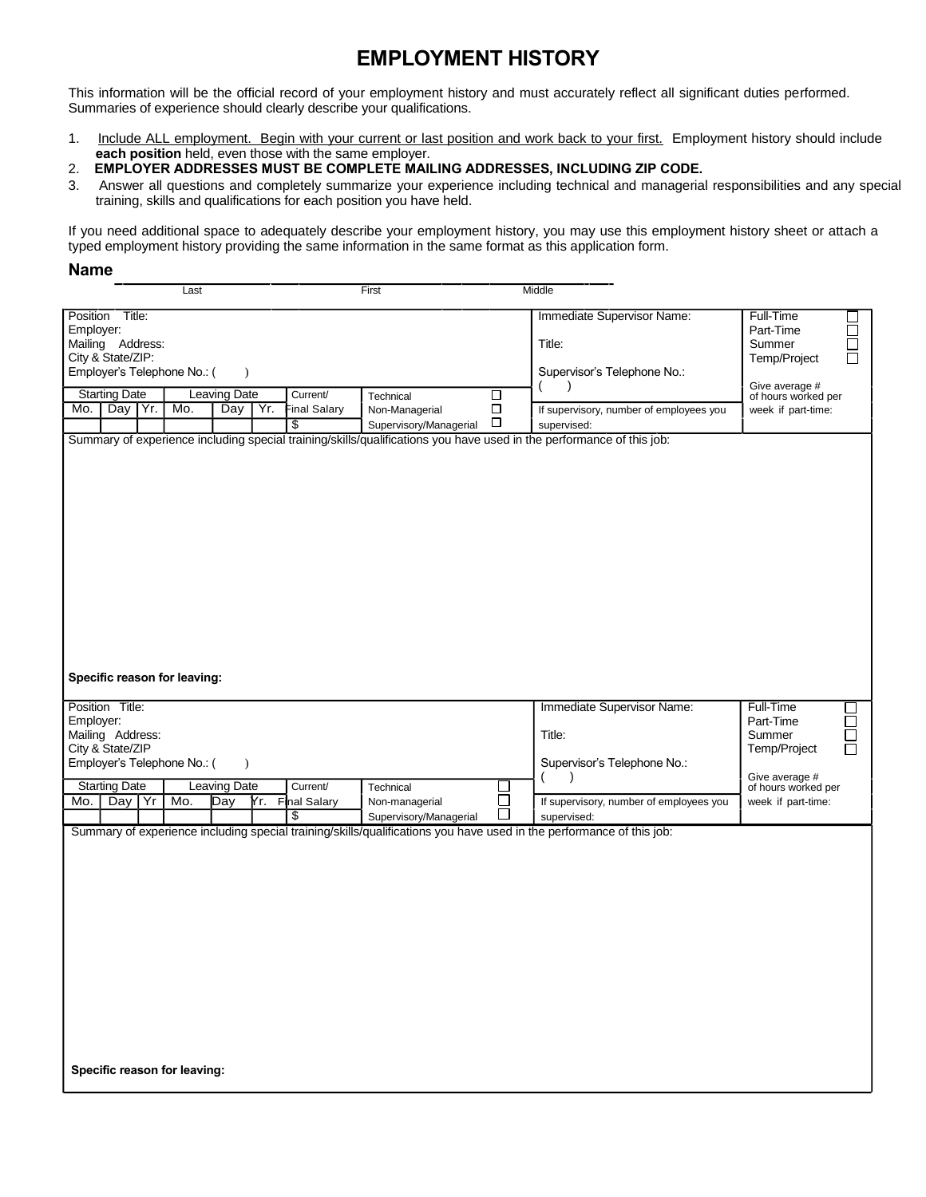## **EMPLOYMENT HISTORY**

This information will be the official record of your employment history and must accurately reflect all significant duties performed. Summaries of experience should clearly describe your qualifications.

- 1. Include ALL employment. Begin with your current or last position and work back to your first. Employment history should include **each position** held, even those with the same employer.
- 2. **EMPLOYER ADDRESSES MUST BE COMPLETE MAILING ADDRESSES, INCLUDING ZIP CODE.**
- 3. Answer all questions and completely summarize your experience including technical and managerial responsibilities and any special training, skills and qualifications for each position you have held.

If you need additional space to adequately describe your employment history, you may use this employment history sheet or attach a typed employment history providing the same information in the same format as this application form.

## **Name**

|                                                                                                      | Last |              |     |                           | First                                    |                  | Middle                                                                                                               |                                                                                      |
|------------------------------------------------------------------------------------------------------|------|--------------|-----|---------------------------|------------------------------------------|------------------|----------------------------------------------------------------------------------------------------------------------|--------------------------------------------------------------------------------------|
| Position Title:<br>Employer:<br>Mailing Address:<br>City & State/ZIP:<br>Employer's Telephone No.: ( |      | $\lambda$    |     |                           |                                          |                  | Immediate Supervisor Name:<br>Title:<br>Supervisor's Telephone No.:                                                  | Full-Time<br>Part-Time<br>$\Box$<br>Summer<br>$\Box$<br>Temp/Project<br>$\mathbf{I}$ |
|                                                                                                      |      |              |     |                           |                                          |                  |                                                                                                                      | Give average #                                                                       |
| <b>Starting Date</b><br>Day Yr.                                                                      |      | Leaving Date |     | Current/                  | Technical                                | □                |                                                                                                                      | of hours worked per                                                                  |
| Mo.                                                                                                  | Mo.  | Day          | Yr. | <b>Final Salary</b><br>\$ | Non-Managerial<br>Supervisory/Managerial | $\Box$<br>$\Box$ | If supervisory, number of employees you<br>supervised:                                                               | week if part-time:                                                                   |
|                                                                                                      |      |              |     |                           |                                          |                  | Summary of experience including special training/skills/qualifications you have used in the performance of this job: |                                                                                      |
|                                                                                                      |      |              |     |                           |                                          |                  |                                                                                                                      |                                                                                      |
| Specific reason for leaving:                                                                         |      |              |     |                           |                                          |                  |                                                                                                                      |                                                                                      |
| Position Title:                                                                                      |      |              |     |                           |                                          |                  | Immediate Supervisor Name:                                                                                           | Full-Time                                                                            |
| Employer:<br>Mailing Address:                                                                        |      |              |     |                           |                                          |                  | Title:                                                                                                               | Part-Time<br>$\Box$<br>$\Box$<br>Summer                                              |
| City & State/ZIP                                                                                     |      |              |     |                           |                                          |                  |                                                                                                                      | Temp/Project<br>П                                                                    |
| Employer's Telephone No.: (                                                                          |      | $\lambda$    |     |                           |                                          |                  | Supervisor's Telephone No.:                                                                                          |                                                                                      |
| <b>Starting Date</b>                                                                                 |      | Leaving Date |     | Current/                  | Technical                                |                  |                                                                                                                      | Give average #<br>of hours worked per                                                |
| Day Yr<br>Mo.                                                                                        | Mo.  | Day          |     | Yr. Final Salary          | Non-managerial                           | $\Box$           | If supervisory, number of employees you                                                                              | week if part-time:                                                                   |
|                                                                                                      |      |              |     | \$                        | Supervisory/Managerial                   |                  | supervised:                                                                                                          |                                                                                      |
|                                                                                                      |      |              |     |                           |                                          |                  | Summary of experience including special training/skills/qualifications you have used in the performance of this job: |                                                                                      |
|                                                                                                      |      |              |     |                           |                                          |                  |                                                                                                                      |                                                                                      |
|                                                                                                      |      |              |     |                           |                                          |                  |                                                                                                                      |                                                                                      |
|                                                                                                      |      |              |     |                           |                                          |                  |                                                                                                                      |                                                                                      |
|                                                                                                      |      |              |     |                           |                                          |                  |                                                                                                                      |                                                                                      |
|                                                                                                      |      |              |     |                           |                                          |                  |                                                                                                                      |                                                                                      |
|                                                                                                      |      |              |     |                           |                                          |                  |                                                                                                                      |                                                                                      |
|                                                                                                      |      |              |     |                           |                                          |                  |                                                                                                                      |                                                                                      |
|                                                                                                      |      |              |     |                           |                                          |                  |                                                                                                                      |                                                                                      |
|                                                                                                      |      |              |     |                           |                                          |                  |                                                                                                                      |                                                                                      |
| Specific reason for leaving:                                                                         |      |              |     |                           |                                          |                  |                                                                                                                      |                                                                                      |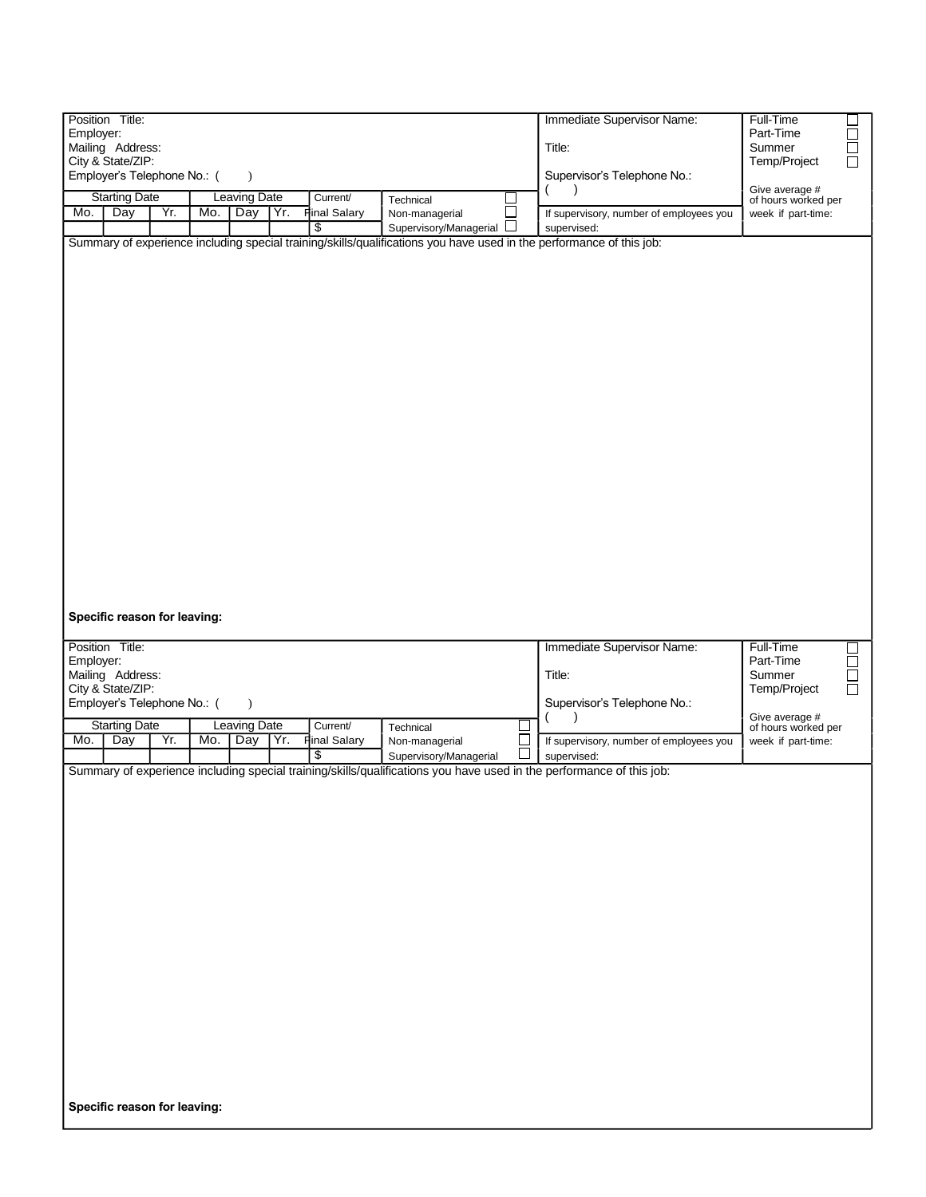| Position Title:<br>Employer:<br>Mailing Address:<br>City & State/ZIP:<br>Employer's Telephone No.: (<br><b>Starting Date</b><br>Yr.<br>Day<br>Mo.                                                                 | $\lambda$<br><b>Leaving Date</b><br>Mo.<br>Day<br>Yr. | Current/<br><b>Final Salary</b><br>S | Technical<br>$\Box$<br>Non-managerial<br>$\Box$<br>Supervisory/Managerial<br>Summary of experience including special training/skills/qualifications you have used in the performance of this job: | Immediate Supervisor Name:<br>Title:<br>Supervisor's Telephone No.:<br>If supervisory, number of employees you<br>supervised:              | Full-Time<br>□<br>Ŏ<br>Part-Time<br>Summer<br>Temp/Project<br>Give average #<br>of hours worked per<br>week if part-time: |
|-------------------------------------------------------------------------------------------------------------------------------------------------------------------------------------------------------------------|-------------------------------------------------------|--------------------------------------|---------------------------------------------------------------------------------------------------------------------------------------------------------------------------------------------------|--------------------------------------------------------------------------------------------------------------------------------------------|---------------------------------------------------------------------------------------------------------------------------|
| Specific reason for leaving:<br>Position Title:<br>Employer:<br>Mailing Address:<br>City & State/ZIP:<br>Employer's Telephone No.: (<br><b>Starting Date</b><br>Mo.<br>Day<br>Yr.<br>Specific reason for leaving: | $\lambda$<br><b>Leaving Date</b><br>Mo.<br>Yr.<br>Day | Current/<br>Final Salary<br>\$       | Technical<br>Non-managerial<br>Supervisory/Managerial<br>Summary of experience including special training/skills/qualifications you have used in the performance of this job:                     | Immediate Supervisor Name:<br>Title:<br>Supervisor's Telephone No.:<br>$\lambda$<br>If supervisory, number of employees you<br>supervised: | Full-Time<br>u<br>A<br>Part-Time<br>Summer<br>Temp/Project<br>Give average #<br>of hours worked per<br>week if part-time: |